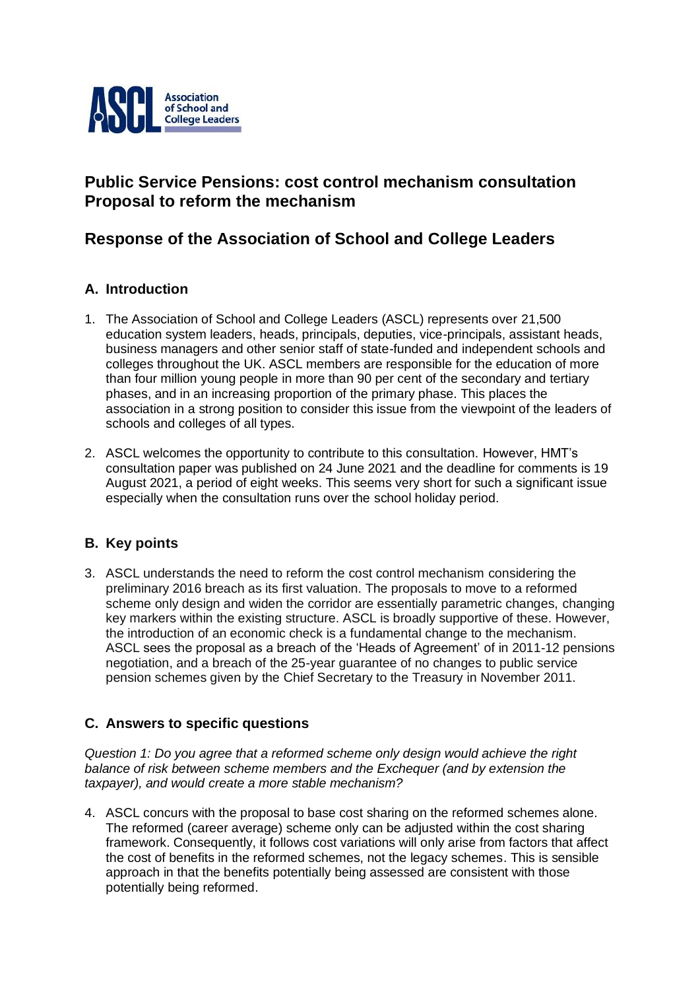

# **Public Service Pensions: cost control mechanism consultation Proposal to reform the mechanism**

## **Response of the Association of School and College Leaders**

## **A. Introduction**

- 1. The Association of School and College Leaders (ASCL) represents over 21,500 education system leaders, heads, principals, deputies, vice-principals, assistant heads, business managers and other senior staff of state-funded and independent schools and colleges throughout the UK. ASCL members are responsible for the education of more than four million young people in more than 90 per cent of the secondary and tertiary phases, and in an increasing proportion of the primary phase. This places the association in a strong position to consider this issue from the viewpoint of the leaders of schools and colleges of all types.
- 2. ASCL welcomes the opportunity to contribute to this consultation. However, HMT's consultation paper was published on 24 June 2021 and the deadline for comments is 19 August 2021, a period of eight weeks. This seems very short for such a significant issue especially when the consultation runs over the school holiday period.

## **B. Key points**

3. ASCL understands the need to reform the cost control mechanism considering the preliminary 2016 breach as its first valuation. The proposals to move to a reformed scheme only design and widen the corridor are essentially parametric changes, changing key markers within the existing structure. ASCL is broadly supportive of these. However, the introduction of an economic check is a fundamental change to the mechanism. ASCL sees the proposal as a breach of the 'Heads of Agreement' of in 2011-12 pensions negotiation, and a breach of the 25-year guarantee of no changes to public service pension schemes given by the Chief Secretary to the Treasury in November 2011.

## **C. Answers to specific questions**

*Question 1: Do you agree that a reformed scheme only design would achieve the right balance of risk between scheme members and the Exchequer (and by extension the taxpayer), and would create a more stable mechanism?*

4. ASCL concurs with the proposal to base cost sharing on the reformed schemes alone. The reformed (career average) scheme only can be adjusted within the cost sharing framework. Consequently, it follows cost variations will only arise from factors that affect the cost of benefits in the reformed schemes, not the legacy schemes. This is sensible approach in that the benefits potentially being assessed are consistent with those potentially being reformed.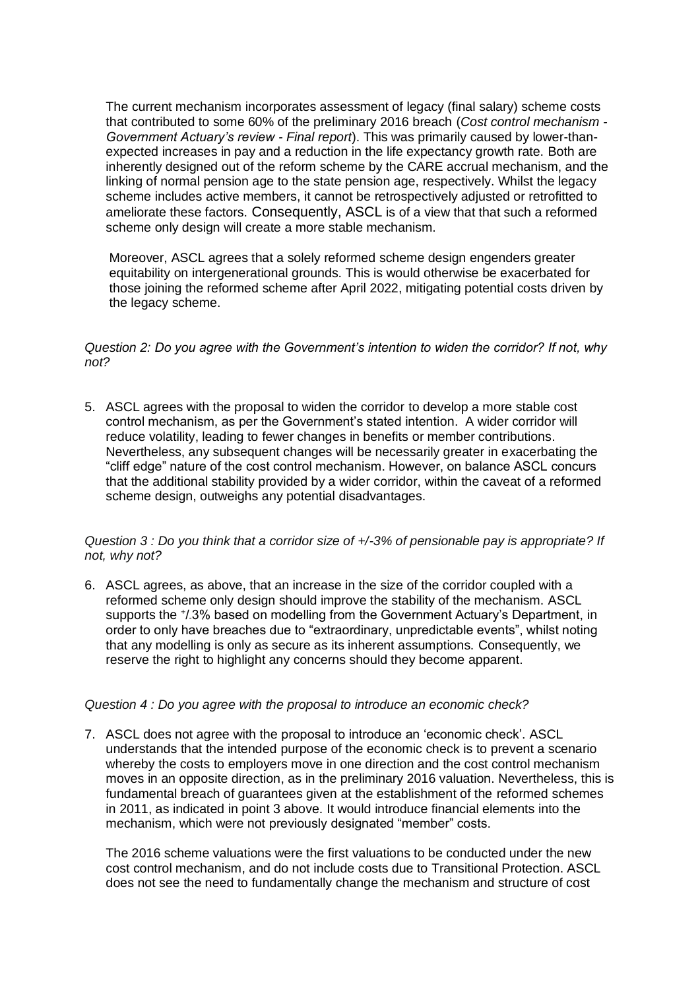The current mechanism incorporates assessment of legacy (final salary) scheme costs that contributed to some 60% of the preliminary 2016 breach (*Cost control mechanism - Government Actuary's review - Final report*). This was primarily caused by lower-thanexpected increases in pay and a reduction in the life expectancy growth rate. Both are inherently designed out of the reform scheme by the CARE accrual mechanism, and the linking of normal pension age to the state pension age, respectively. Whilst the legacy scheme includes active members, it cannot be retrospectively adjusted or retrofitted to ameliorate these factors. Consequently, ASCL is of a view that that such a reformed scheme only design will create a more stable mechanism.

Moreover, ASCL agrees that a solely reformed scheme design engenders greater equitability on intergenerational grounds. This is would otherwise be exacerbated for those joining the reformed scheme after April 2022, mitigating potential costs driven by the legacy scheme.

#### *Question 2: Do you agree with the Government's intention to widen the corridor? If not, why not?*

5. ASCL agrees with the proposal to widen the corridor to develop a more stable cost control mechanism, as per the Government's stated intention. A wider corridor will reduce volatility, leading to fewer changes in benefits or member contributions. Nevertheless, any subsequent changes will be necessarily greater in exacerbating the "cliff edge" nature of the cost control mechanism. However, on balance ASCL concurs that the additional stability provided by a wider corridor, within the caveat of a reformed scheme design, outweighs any potential disadvantages.

#### *Question 3 : Do you think that a corridor size of +/-3% of pensionable pay is appropriate? If not, why not?*

6. ASCL agrees, as above, that an increase in the size of the corridor coupled with a reformed scheme only design should improve the stability of the mechanism. ASCL supports the +/.3% based on modelling from the Government Actuary's Department, in order to only have breaches due to "extraordinary, unpredictable events", whilst noting that any modelling is only as secure as its inherent assumptions. Consequently, we reserve the right to highlight any concerns should they become apparent.

#### *Question 4 : Do you agree with the proposal to introduce an economic check?*

7. ASCL does not agree with the proposal to introduce an 'economic check'. ASCL understands that the intended purpose of the economic check is to prevent a scenario whereby the costs to employers move in one direction and the cost control mechanism moves in an opposite direction, as in the preliminary 2016 valuation. Nevertheless, this is fundamental breach of guarantees given at the establishment of the reformed schemes in 2011, as indicated in point 3 above. It would introduce financial elements into the mechanism, which were not previously designated "member" costs.

The 2016 scheme valuations were the first valuations to be conducted under the new cost control mechanism, and do not include costs due to Transitional Protection. ASCL does not see the need to fundamentally change the mechanism and structure of cost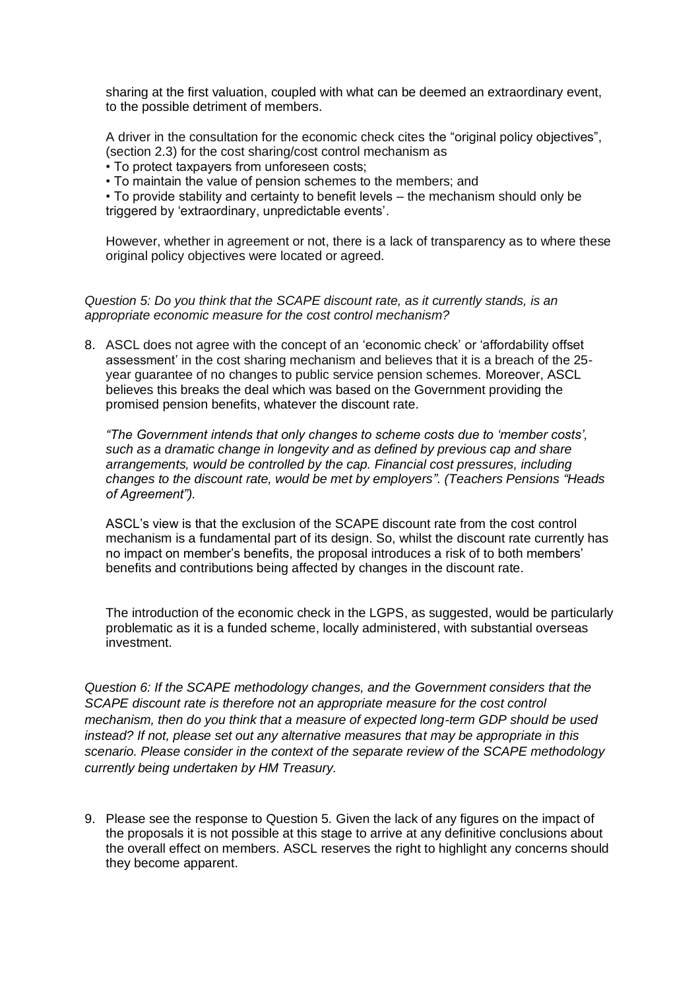sharing at the first valuation, coupled with what can be deemed an extraordinary event, to the possible detriment of members.

A driver in the consultation for the economic check cites the "original policy objectives", (section 2.3) for the cost sharing/cost control mechanism as

• To protect taxpayers from unforeseen costs;

• To maintain the value of pension schemes to the members; and

• To provide stability and certainty to benefit levels – the mechanism should only be triggered by 'extraordinary, unpredictable events'.

However, whether in agreement or not, there is a lack of transparency as to where these original policy objectives were located or agreed.

#### *Question 5: Do you think that the SCAPE discount rate, as it currently stands, is an appropriate economic measure for the cost control mechanism?*

8. ASCL does not agree with the concept of an 'economic check' or 'affordability offset assessment' in the cost sharing mechanism and believes that it is a breach of the 25 year guarantee of no changes to public service pension schemes. Moreover, ASCL believes this breaks the deal which was based on the Government providing the promised pension benefits, whatever the discount rate.

*"The Government intends that only changes to scheme costs due to 'member costs', such as a dramatic change in longevity and as defined by previous cap and share arrangements, would be controlled by the cap. Financial cost pressures, including changes to the discount rate, would be met by employers". (Teachers Pensions "Heads of Agreement").*

ASCL's view is that the exclusion of the SCAPE discount rate from the cost control mechanism is a fundamental part of its design. So, whilst the discount rate currently has no impact on member's benefits, the proposal introduces a risk of to both members' benefits and contributions being affected by changes in the discount rate.

The introduction of the economic check in the LGPS, as suggested, would be particularly problematic as it is a funded scheme, locally administered, with substantial overseas investment.

*Question 6: If the SCAPE methodology changes, and the Government considers that the SCAPE discount rate is therefore not an appropriate measure for the cost control mechanism, then do you think that a measure of expected long-term GDP should be used instead? If not, please set out any alternative measures that may be appropriate in this scenario. Please consider in the context of the separate review of the SCAPE methodology currently being undertaken by HM Treasury.*

9. Please see the response to Question 5. Given the lack of any figures on the impact of the proposals it is not possible at this stage to arrive at any definitive conclusions about the overall effect on members. ASCL reserves the right to highlight any concerns should they become apparent.